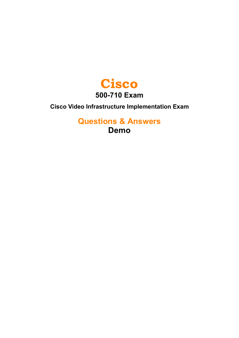

**Cisco Video Infrastructure Implementation Exam**

**Questions & Answers Demo**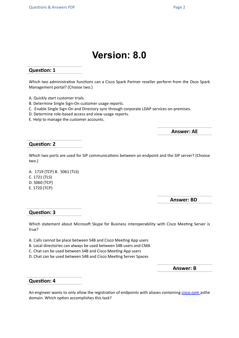# **Version: 8.0**

# **Question: 1**

Which Iwo administrative functions can a Cisco Spark Partner reseller perform from the Osco Spark Management portal? (Choose two.)

- A. Quickly start customer trials.
- B. Determine Single Sign-On customer usage reports.
- C. Enable Single Sign-On and Directory sync through corporate LDAP services on-premises.
- D. Determine role-based access and view usage reports.
- E. Help to manage the customer accounts.

**Answer: AE**

### **Question: 2**

Which two ports are used for SIP communications between an endpoint and the SIP server? (Choose two.)

A. 1719 (TCP) B. 5061 (TLS) C. 1721 (TLS) D. 5060 (TCP) E. 1720 (TCP)

**Answer: BD**

#### **Question: 3**

Which statement about Microsoft Skype for Business interoperability with Cisco Meeting Server is true?

- A. Calls cannot be place between S4B and Cisco Meeting App users
- B. Local directories can always be used between S4B users and CMA
- C. Chat can be used between S4B and Cisco Meeting App users
- D. Chat can be used between S4B and Cisco Meeting Server Spaces

**Answer: B**

#### **Question: 4**

An engineer wants to only allow the registration of endpoints with aliases containing [cisco.com](http://cisco.com/) asthe domain. Which option accomplishes this task?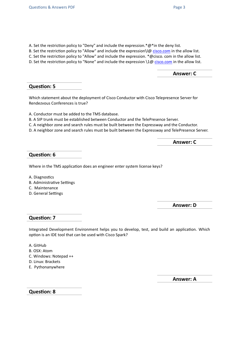- A. Set the restriction policy to "Deny" and include the expression.\*@\*in the deny list.
- B. Set the restriction policy to "Allow" and include the expression  $\log$  [cisco.com](http://cisco.com/) in the allow list.
- C. Set the restriction policy to "Allow" and include the expression. \*@cisco. com in the allow list.
- D. Set the restriction policy to "None" and include the expression  $\setminus 1@$  [cisco.com](http://cisco.com/) in the allow list.

**Answer: C**

# **Question: 5**

Which statement about the deployment of Cisco Conductor with Cisco Telepresence Server for Rendezvous Conferences is true?

A. Conductor must be added to the TMS database.

- B. A SIP trunk must be established between Conductor and the TelePresence Server.
- C. A neighbor zone and search rules must be built between the Expressway and the Conductor.
- D. A neighbor zone and search rules must be built between the Expressway and TelePresence Server.

**Answer: C**

# **Question: 6**

Where in the TMS application does an engineer enter system license keys?

- A. Diagnostics
- B. Administrative Settings
- C. Maintenance
- D. General Settings

**Answer: D**

## **Question: 7**

Integrated Development Environment helps you to develop, test, and build an application. Which option is an IDE tool that can be used with Cisco Spark?

- A. GitHub
- B. OSX: Atom
- C. Windows: Notepad ++
- D. Linux: Brackets
- E. Pythonanywhere

**Answer: A**

**Question: 8**